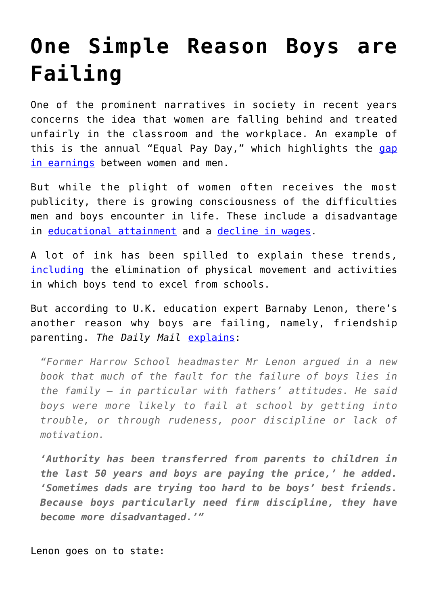## **[One Simple Reason Boys are](https://intellectualtakeout.org/2017/04/one-simple-reason-boys-are-failing/) [Failing](https://intellectualtakeout.org/2017/04/one-simple-reason-boys-are-failing/)**

One of the prominent narratives in society in recent years concerns the idea that women are falling behind and treated unfairly in the classroom and the workplace. An example of this is the annual "Equal Pay Day," which highlights the [gap](https://www.intellectualtakeout.org/blog/gender-pay-gap-myths-and-truths) [in earnings](https://www.intellectualtakeout.org/blog/gender-pay-gap-myths-and-truths) between women and men.

But while the plight of women often receives the most publicity, there is growing consciousness of the difficulties men and boys encounter in life. These include a disadvantage in [educational attainment](https://www.census.gov/content/dam/Census/library/publications/2016/demo/p20-578.pdf) and a [decline in wages.](https://www.intellectualtakeout.org/blog/feminist-author-women-need-stop-playing-victim)

A lot of ink has been spilled to explain these trends, [including](https://www.intellectualtakeout.org/blog/has-war-boys-entered-workforce) the elimination of physical movement and activities in which boys tend to excel from schools.

But according to U.K. education expert Barnaby Lenon, there's another reason why boys are failing, namely, friendship parenting. *The Daily Mail* [explains:](http://www.dailymail.co.uk/news/article-4374208/Best-friend-dads-blamed-sons-failing-school.html)

*"Former Harrow School headmaster Mr Lenon argued in a new book that much of the fault for the failure of boys lies in the family – in particular with fathers' attitudes. He said boys were more likely to fail at school by getting into trouble, or through rudeness, poor discipline or lack of motivation.*

*'Authority has been transferred from parents to children in the last 50 years and boys are paying the price,' he added. 'Sometimes dads are trying too hard to be boys' best friends. Because boys particularly need firm discipline, they have become more disadvantaged.'"*

Lenon goes on to state: